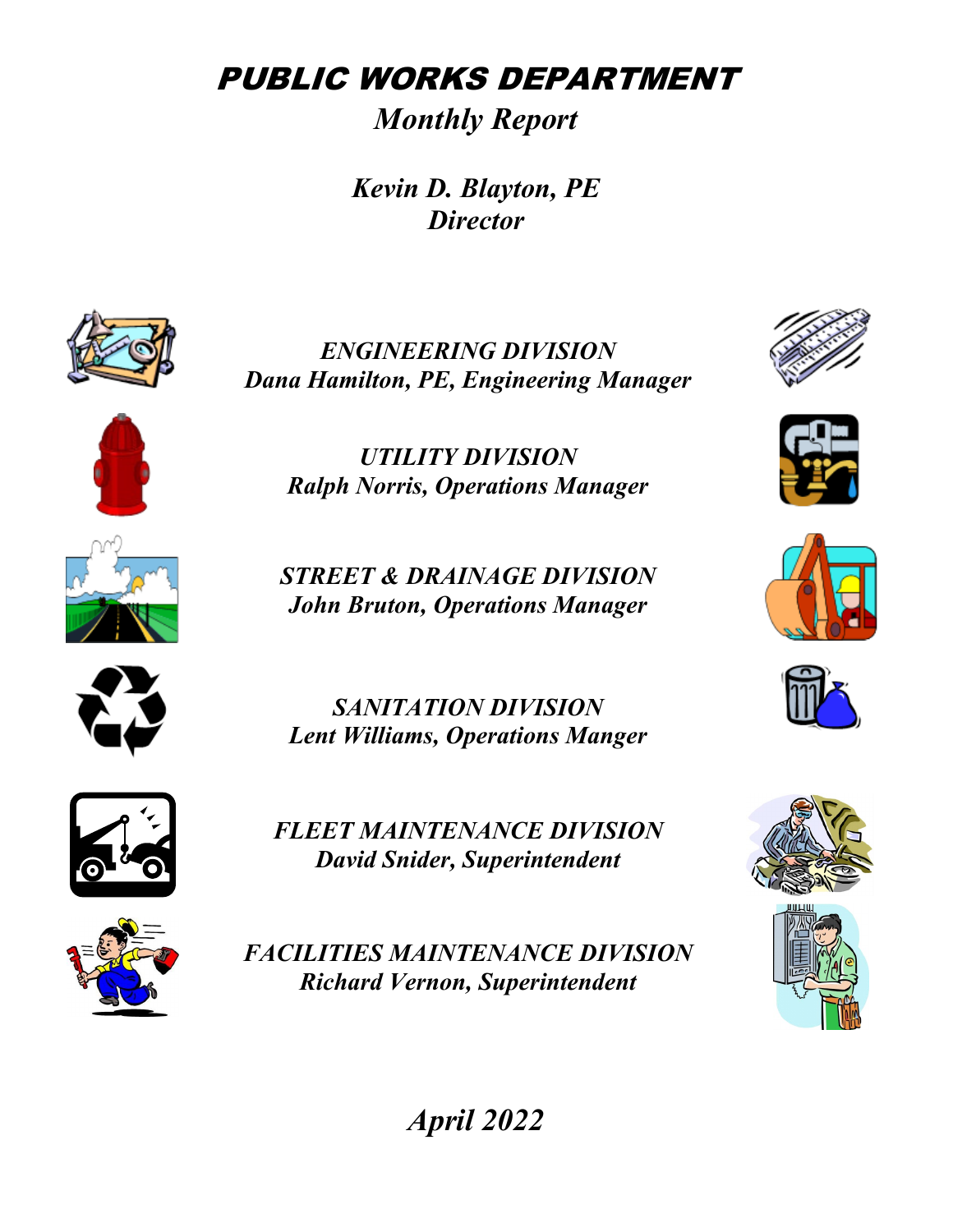PUBLIC WORKS DEPARTMENT

*Monthly Report*

*Kevin D. Blayton, PE Director*



*ENGINEERING DIVISION Dana Hamilton, PE, Engineering Manager* 





*Ralph Norris, Operations Manager*

*UTILITY DIVISION*

*STREET & DRAINAGE DIVISION John Bruton, Operations Manager*



*SANITATION DIVISION Lent Williams, Operations Manger*



*FLEET MAINTENANCE DIVISION David Snider, Superintendent*



*FACILITIES MAINTENANCE DIVISION Richard Vernon, Superintendent*













*April 2022*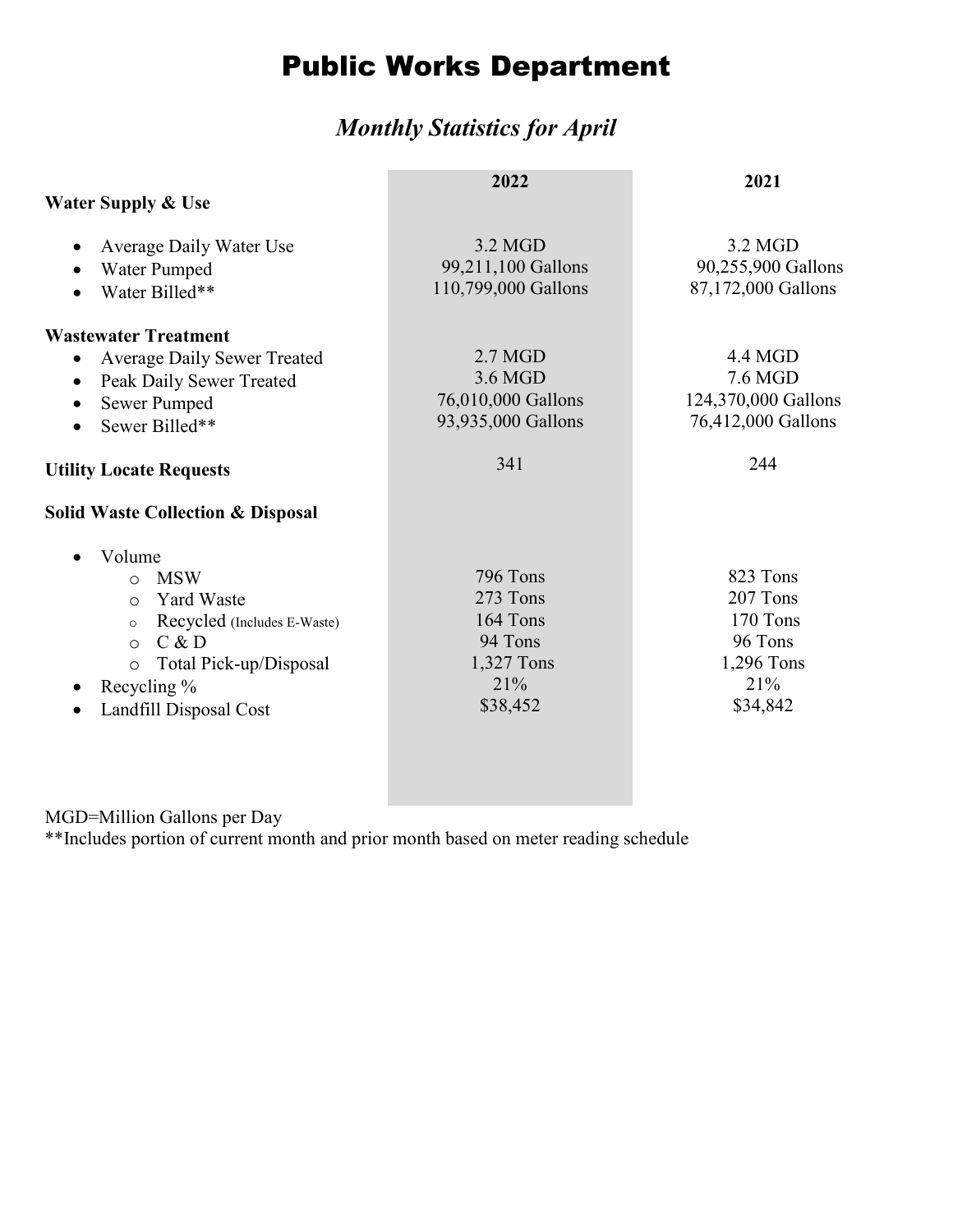# Public Works Department

### *Monthly Statistics for April*

|                                                                                                                                                                                                             | 2022                                                                         | 2021                                                                         |  |  |
|-------------------------------------------------------------------------------------------------------------------------------------------------------------------------------------------------------------|------------------------------------------------------------------------------|------------------------------------------------------------------------------|--|--|
| <b>Water Supply &amp; Use</b>                                                                                                                                                                               |                                                                              |                                                                              |  |  |
| Average Daily Water Use<br>Water Pumped<br>Water Billed**                                                                                                                                                   | 3.2 MGD<br>99,211,100 Gallons<br>110,799,000 Gallons                         | 3.2 MGD<br>90,255,900 Gallons<br>87,172,000 Gallons                          |  |  |
| <b>Wastewater Treatment</b><br><b>Average Daily Sewer Treated</b><br>Peak Daily Sewer Treated<br>Sewer Pumped<br>Sewer Billed**<br>$\bullet$                                                                | $2.7$ MGD<br>3.6 MGD<br>76,010,000 Gallons<br>93,935,000 Gallons             | 4.4 MGD<br>7.6 MGD<br>124,370,000 Gallons<br>76,412,000 Gallons              |  |  |
| <b>Utility Locate Requests</b>                                                                                                                                                                              | 341                                                                          | 244                                                                          |  |  |
| <b>Solid Waste Collection &amp; Disposal</b>                                                                                                                                                                |                                                                              |                                                                              |  |  |
| Volume<br><b>MSW</b><br>$\circ$<br><b>Yard Waste</b><br>$\circ$<br>Recycled (Includes E-Waste)<br>$\circ$<br>C & D<br>$\circ$<br>Total Pick-up/Disposal<br>$\circ$<br>Recycling %<br>Landfill Disposal Cost | 796 Tons<br>273 Tons<br>164 Tons<br>94 Tons<br>1,327 Tons<br>21%<br>\$38,452 | 823 Tons<br>207 Tons<br>170 Tons<br>96 Tons<br>1,296 Tons<br>21%<br>\$34,842 |  |  |

MGD=Million Gallons per Day

\*\*Includes portion of current month and prior month based on meter reading schedule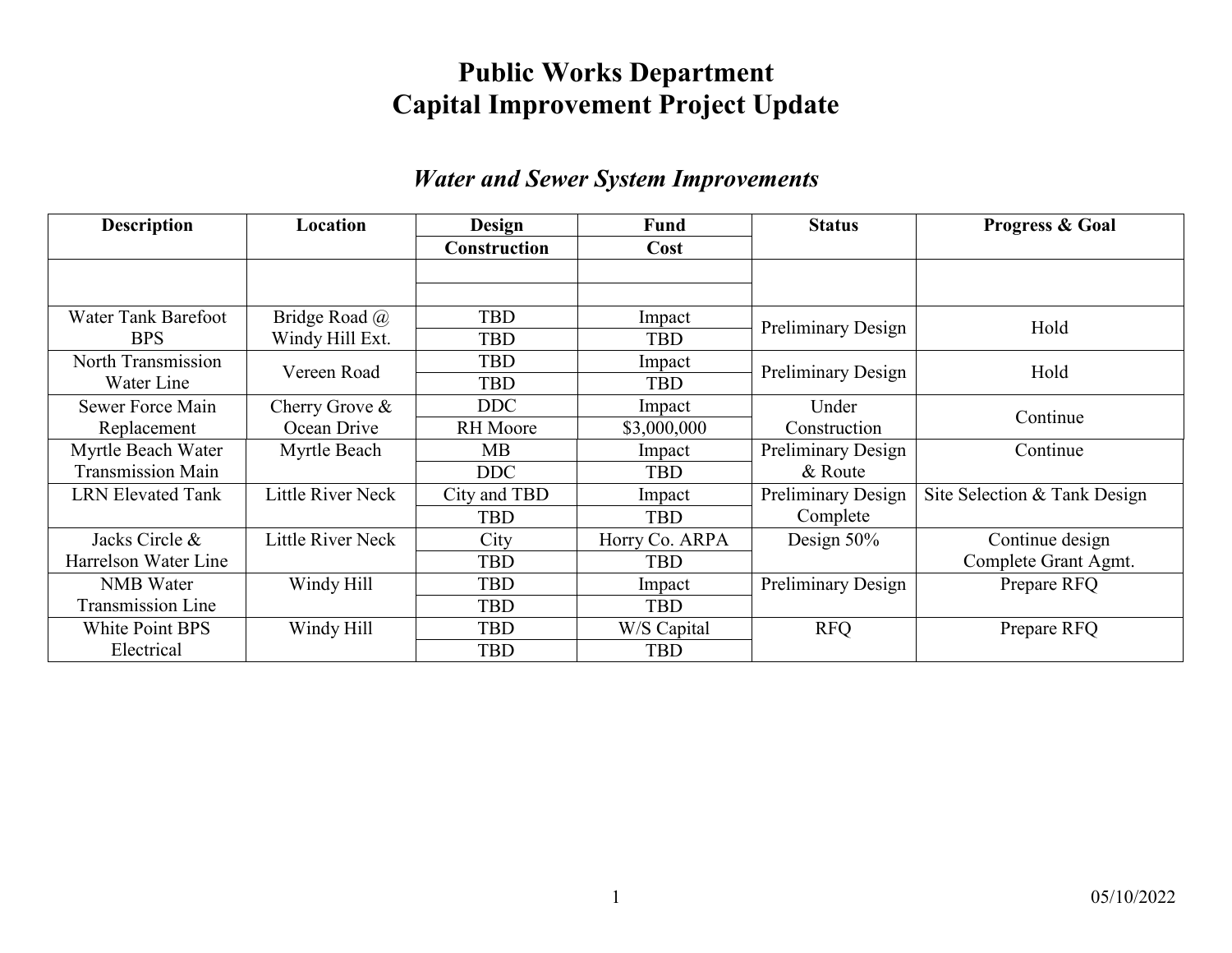## **Public Works Department Capital Improvement Project Update**

#### *Water and Sewer System Improvements*

| <b>Description</b>       | Location                 | <b>Design</b><br>Fund |                | <b>Status</b>             | <b>Progress &amp; Goal</b>   |
|--------------------------|--------------------------|-----------------------|----------------|---------------------------|------------------------------|
|                          |                          | <b>Construction</b>   | Cost           |                           |                              |
|                          |                          |                       |                |                           |                              |
|                          |                          |                       |                |                           |                              |
| Water Tank Barefoot      | Bridge Road @            | <b>TBD</b>            | Impact         | <b>Preliminary Design</b> | Hold                         |
| BPS.                     | Windy Hill Ext.          | <b>TBD</b>            | <b>TBD</b>     |                           |                              |
| North Transmission       | Vereen Road              | <b>TBD</b>            | Impact         |                           | Hold                         |
| Water Line               |                          | <b>TBD</b>            | <b>TBD</b>     | <b>Preliminary Design</b> |                              |
| Sewer Force Main         | Cherry Grove &           | <b>DDC</b>            | Impact         | Under                     | Continue                     |
| Replacement              | Ocean Drive              | <b>RH</b> Moore       | \$3,000,000    | Construction              |                              |
| Myrtle Beach Water       | Myrtle Beach             | MВ                    | Impact         | <b>Preliminary Design</b> | Continue                     |
| <b>Transmission Main</b> |                          | <b>DDC</b>            | <b>TBD</b>     | & Route                   |                              |
| <b>LRN Elevated Tank</b> | Little River Neck        | City and TBD          | Impact         | <b>Preliminary Design</b> | Site Selection & Tank Design |
|                          |                          | <b>TBD</b>            | <b>TBD</b>     | Complete                  |                              |
| Jacks Circle &           | <b>Little River Neck</b> | City                  | Horry Co. ARPA | Design 50%                | Continue design              |
| Harrelson Water Line     |                          | TBD                   | <b>TBD</b>     |                           | Complete Grant Agmt.         |
| <b>NMB</b> Water         | Windy Hill               | TBD                   | Impact         | Preliminary Design        | Prepare RFQ                  |
| <b>Transmission Line</b> |                          | <b>TBD</b>            | <b>TBD</b>     |                           |                              |
| <b>White Point BPS</b>   | Windy Hill               | <b>TBD</b>            | W/S Capital    | <b>RFQ</b>                | Prepare RFQ                  |
| Electrical               |                          | <b>TBD</b>            | <b>TBD</b>     |                           |                              |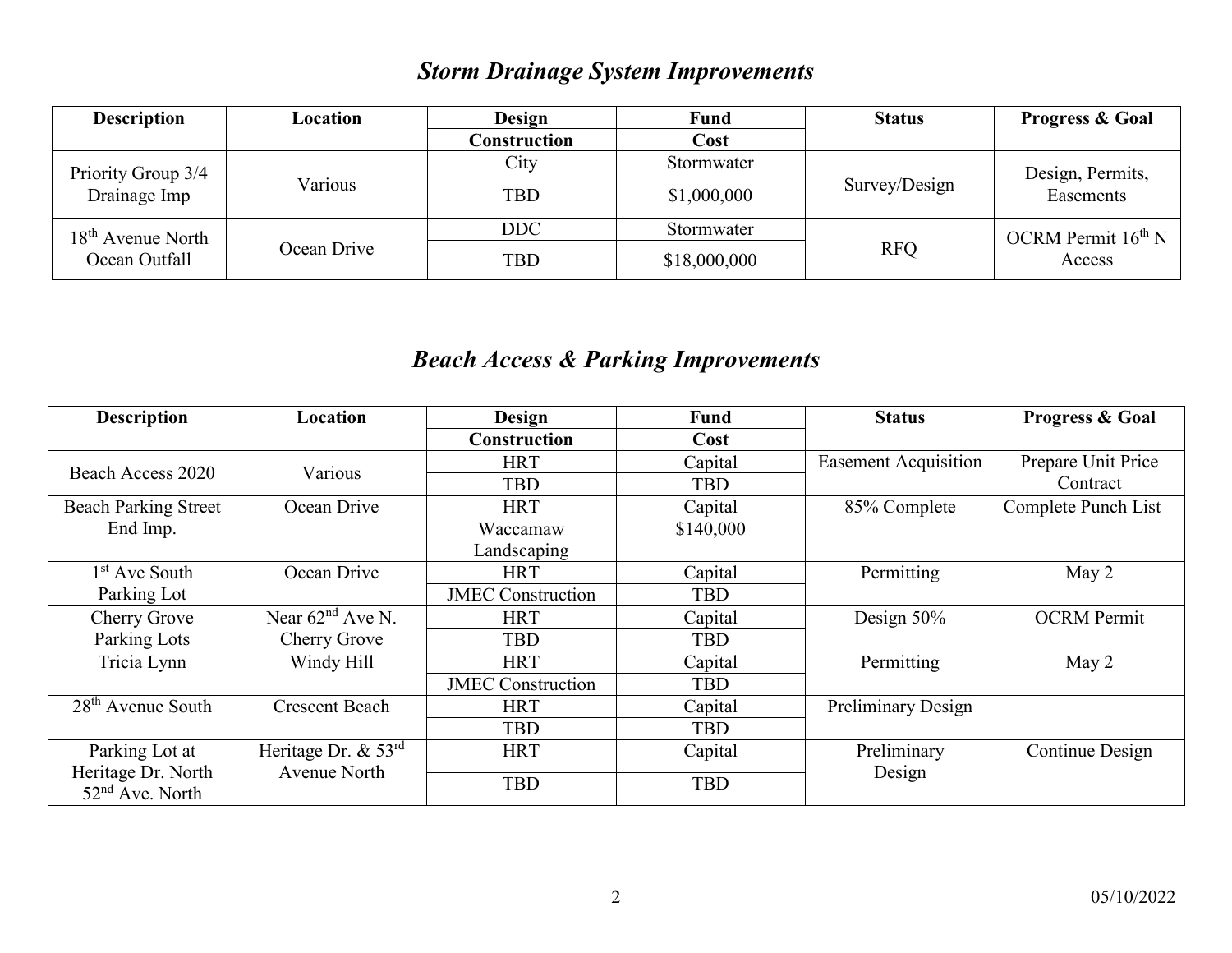## *Storm Drainage System Improvements*

| <b>Description</b>  | Location    | <b>Design</b> | Fund         | <b>Status</b> | <b>Progress &amp; Goal</b>        |  |
|---------------------|-------------|---------------|--------------|---------------|-----------------------------------|--|
|                     |             | Construction  | Cost         |               |                                   |  |
| Priority Group 3/4  |             | City          | Stormwater   |               | Design, Permits,<br>Easements     |  |
| Drainage Imp        | Various     | <b>TBD</b>    | \$1,000,000  | Survey/Design |                                   |  |
| $18th$ Avenue North |             | <b>DDC</b>    | Stormwater   |               | OCRM Permit $16^{th}$ N<br>Access |  |
| Ocean Outfall       | Ocean Drive | <b>TBD</b>    | \$18,000,000 | <b>RFQ</b>    |                                   |  |

### *Beach Access & Parking Improvements*

| <b>Description</b>                                | Location              | Design                   | Fund       | <b>Status</b>               | <b>Progress &amp; Goal</b> |
|---------------------------------------------------|-----------------------|--------------------------|------------|-----------------------------|----------------------------|
|                                                   |                       | <b>Construction</b>      | Cost       |                             |                            |
| Beach Access 2020                                 | Various               | <b>HRT</b>               | Capital    | <b>Easement Acquisition</b> | Prepare Unit Price         |
|                                                   |                       | <b>TBD</b>               | <b>TBD</b> |                             | Contract                   |
| <b>Beach Parking Street</b>                       | Ocean Drive           | <b>HRT</b>               | Capital    | 85% Complete                | Complete Punch List        |
| End Imp.                                          |                       | Waccamaw                 | \$140,000  |                             |                            |
|                                                   |                       | Landscaping              |            |                             |                            |
| 1 <sup>st</sup> Ave South                         | Ocean Drive           | <b>HRT</b>               | Capital    | Permitting                  | May 2                      |
| Parking Lot                                       |                       | <b>JMEC</b> Construction | <b>TBD</b> |                             |                            |
| Cherry Grove                                      | Near $62nd$ Ave N.    | <b>HRT</b>               | Capital    | Design $50\%$               | <b>OCRM</b> Permit         |
| Parking Lots                                      | Cherry Grove          | <b>TBD</b>               | <b>TBD</b> |                             |                            |
| Tricia Lynn                                       | Windy Hill            | <b>HRT</b>               | Capital    | Permitting                  | May 2                      |
|                                                   |                       | <b>JMEC Construction</b> | <b>TBD</b> |                             |                            |
| $28th$ Avenue South                               | <b>Crescent Beach</b> | <b>HRT</b>               | Capital    | <b>Preliminary Design</b>   |                            |
|                                                   |                       | <b>TBD</b>               | <b>TBD</b> |                             |                            |
| Parking Lot at                                    | Heritage Dr. $& 53rd$ | <b>HRT</b>               | Capital    | Preliminary                 | Continue Design            |
| Heritage Dr. North<br>52 <sup>nd</sup> Ave. North | Avenue North          | <b>TBD</b>               | <b>TBD</b> | Design                      |                            |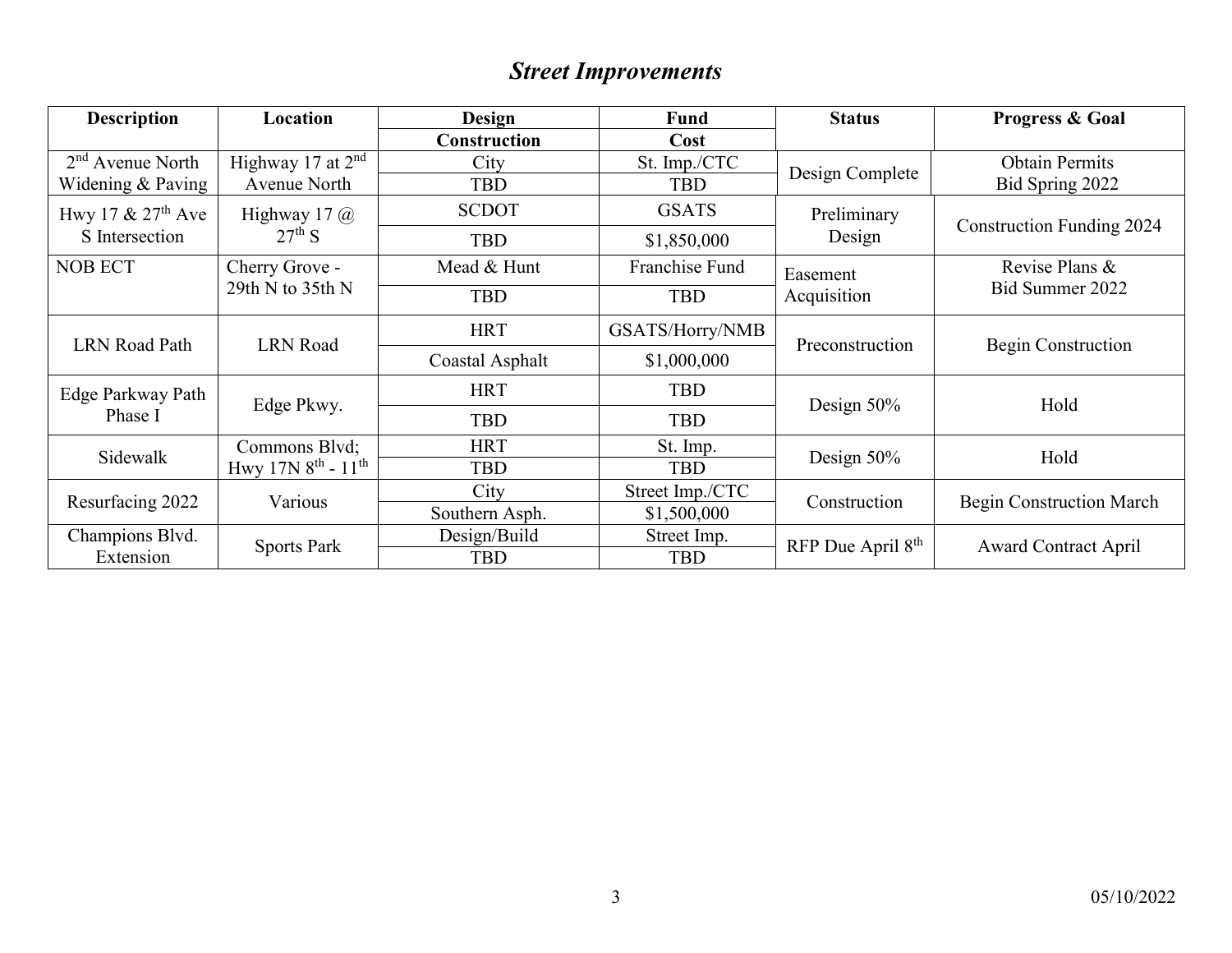# *Street Improvements*

| <b>Description</b>   | Location                                        | <b>Design</b><br><b>Fund</b> |                 | <b>Status</b>                 | <b>Progress &amp; Goal</b>       |  |
|----------------------|-------------------------------------------------|------------------------------|-----------------|-------------------------------|----------------------------------|--|
|                      |                                                 | <b>Construction</b>          | Cost            |                               |                                  |  |
| $2nd$ Avenue North   | Highway 17 at $2nd$                             | City                         | St. Imp./CTC    |                               | <b>Obtain Permits</b>            |  |
| Widening & Paving    | Avenue North                                    | <b>TBD</b>                   | <b>TBD</b>      | Design Complete               | Bid Spring 2022                  |  |
| Hwy 17 $& 27th$ Ave  | Highway 17 $\omega$                             | <b>SCDOT</b>                 | <b>GSATS</b>    | Preliminary                   | <b>Construction Funding 2024</b> |  |
| S Intersection       | $27th$ S                                        | <b>TBD</b>                   | \$1,850,000     | Design                        |                                  |  |
| <b>NOB ECT</b>       | Franchise Fund<br>Cherry Grove -<br>Mead & Hunt |                              |                 | Easement                      | Revise Plans &                   |  |
|                      | 29th N to $35th N$                              | <b>TBD</b>                   | <b>TBD</b>      | Acquisition                   | Bid Summer 2022                  |  |
|                      |                                                 | <b>HRT</b>                   | GSATS/Horry/NMB |                               | Begin Construction               |  |
| <b>LRN</b> Road Path | <b>LRN</b> Road                                 | Coastal Asphalt              | \$1,000,000     | Preconstruction               |                                  |  |
| Edge Parkway Path    |                                                 | <b>HRT</b>                   | <b>TBD</b>      |                               |                                  |  |
| Phase I              | Edge Pkwy.                                      | <b>TBD</b>                   | <b>TBD</b>      | Design $50\%$                 | Hold                             |  |
| Sidewalk             | Commons Blvd;                                   | <b>HRT</b>                   | St. Imp.        |                               |                                  |  |
|                      | Hwy $17N8^{th}$ - $11^{th}$                     | <b>TBD</b>                   | <b>TBD</b>      | Design $50\%$                 | Hold                             |  |
|                      | Various                                         | City                         | Street Imp./CTC | Construction                  |                                  |  |
| Resurfacing 2022     |                                                 | Southern Asph.               | \$1,500,000     |                               | <b>Begin Construction March</b>  |  |
| Champions Blvd.      |                                                 | Design/Build                 | Street Imp.     | RFP Due April 8 <sup>th</sup> |                                  |  |
| Extension            | <b>Sports Park</b>                              | <b>TBD</b>                   | <b>TBD</b>      |                               | <b>Award Contract April</b>      |  |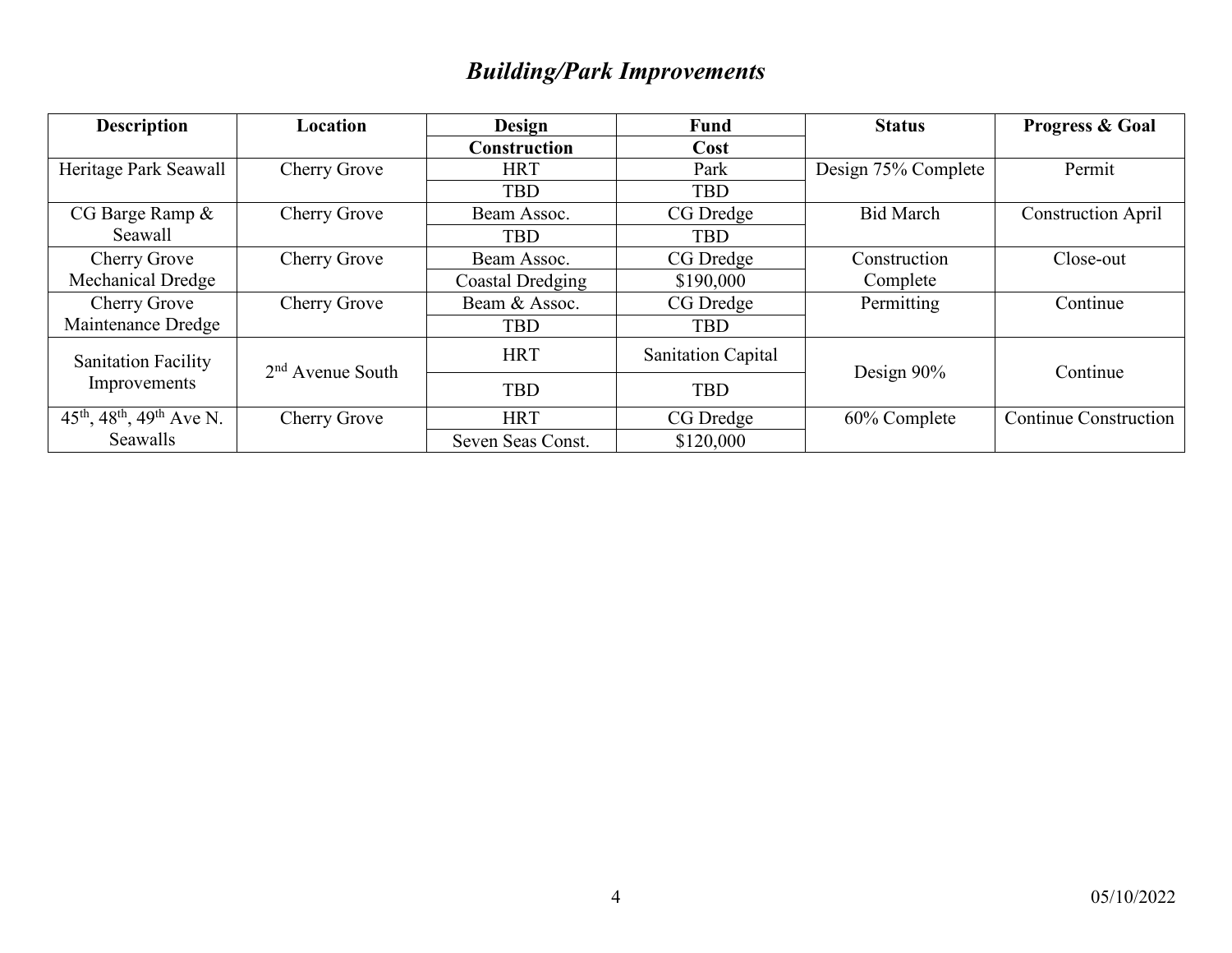# *Building/Park Improvements*

| <b>Description</b>                                                         | Location           | <b>Design</b>       | <b>Fund</b>               | <b>Status</b>       | <b>Progress &amp; Goal</b>   |  |
|----------------------------------------------------------------------------|--------------------|---------------------|---------------------------|---------------------|------------------------------|--|
|                                                                            |                    | <b>Construction</b> | Cost                      |                     |                              |  |
| Heritage Park Seawall                                                      | Cherry Grove       | <b>HRT</b>          | Park                      | Design 75% Complete | Permit                       |  |
|                                                                            |                    | <b>TBD</b>          | <b>TBD</b>                |                     |                              |  |
| CG Barge Ramp $\&$                                                         | Cherry Grove       | Beam Assoc.         | CG Dredge                 | <b>Bid March</b>    | <b>Construction April</b>    |  |
| Seawall                                                                    |                    | <b>TBD</b>          | <b>TBD</b>                |                     |                              |  |
| Cherry Grove                                                               | Cherry Grove       | Beam Assoc.         | CG Dredge                 | Construction        | Close-out                    |  |
| <b>Mechanical Dredge</b>                                                   |                    | Coastal Dredging    | \$190,000                 | Complete            |                              |  |
| <b>Cherry Grove</b>                                                        | Cherry Grove       | Beam & Assoc.       | CG Dredge                 | Permitting          | Continue                     |  |
| Maintenance Dredge                                                         |                    | <b>TBD</b>          | <b>TBD</b>                |                     |                              |  |
| <b>Sanitation Facility</b>                                                 | $2nd$ Avenue South | <b>HRT</b>          | <b>Sanitation Capital</b> | Design 90%          | Continue                     |  |
| Improvements                                                               |                    | <b>TBD</b>          | <b>TBD</b>                |                     |                              |  |
| $\overline{45}$ <sup>th</sup> , 48 <sup>th</sup> , 49 <sup>th</sup> Ave N. | Cherry Grove       | <b>HRT</b>          | CG Dredge                 | 60% Complete        | <b>Continue Construction</b> |  |
| Seawalls                                                                   |                    | Seven Seas Const.   | \$120,000                 |                     |                              |  |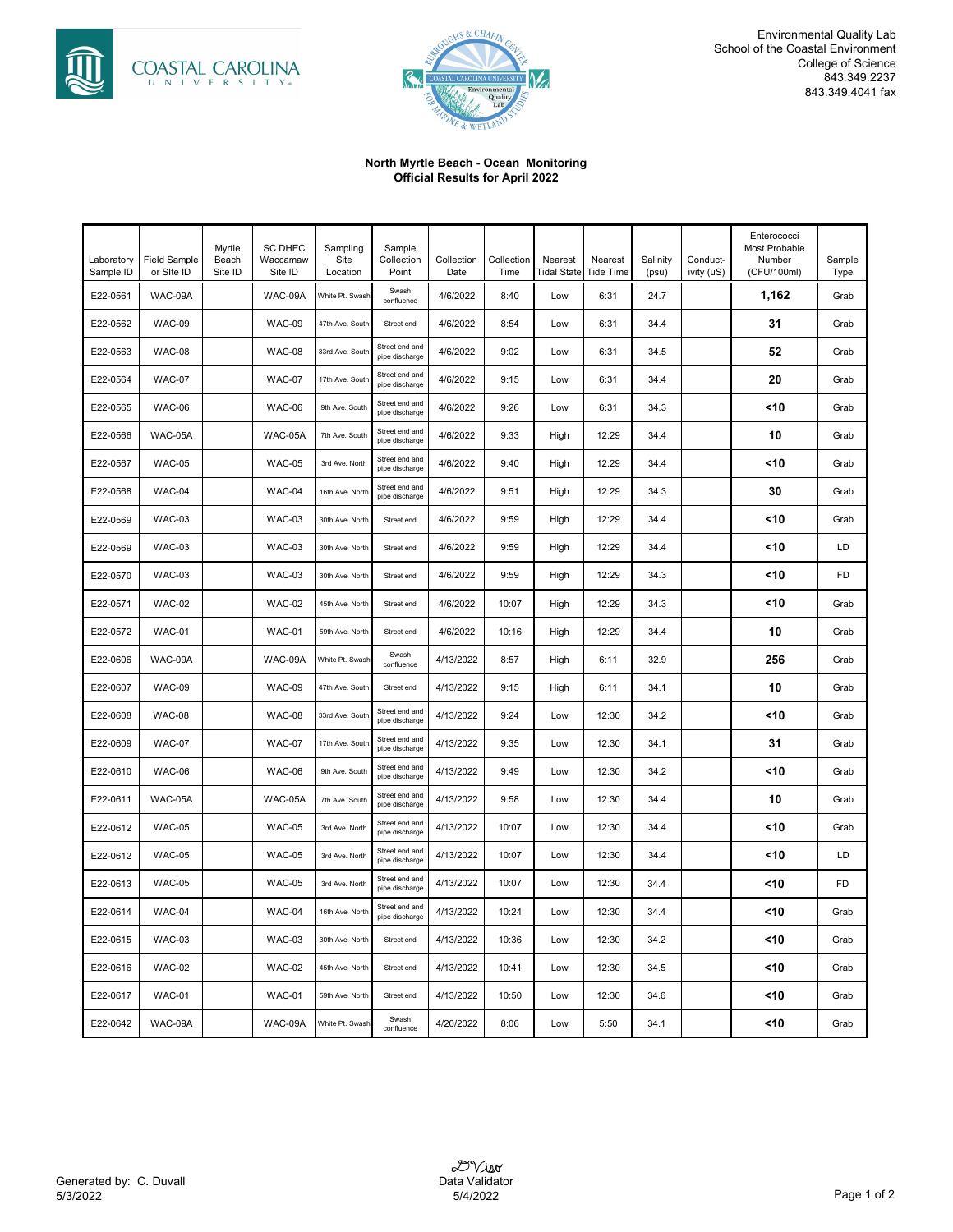



#### **North Myrtle Beach - Ocean Monitoring Official Results for April 2022**

| Laboratory<br>Sample ID | <b>Field Sample</b><br>or Site ID | Myrtle<br>Beach<br>Site ID | <b>SC DHEC</b><br>Waccamaw<br>Site ID | Sampling<br>Site<br>Location | Sample<br>Collection<br>Point    | Collection<br>Date | Collection<br>Time | Nearest<br>Tidal State | Nearest<br><b>Tide Time</b> | Salinity<br>(psu) | Conduct-<br>ivity (uS) | Enterococci<br>Most Probable<br>Number<br>(CFU/100ml) | Sample<br>Type |
|-------------------------|-----------------------------------|----------------------------|---------------------------------------|------------------------------|----------------------------------|--------------------|--------------------|------------------------|-----------------------------|-------------------|------------------------|-------------------------------------------------------|----------------|
| E22-0561                | WAC-09A                           |                            | WAC-09A                               | White Pt. Swash              | Swash<br>confluence              | 4/6/2022           | 8:40               | Low                    | 6:31                        | 24.7              |                        | 1,162                                                 | Grab           |
| E22-0562                | WAC-09                            |                            | <b>WAC-09</b>                         | 47th Ave. South              | Street end                       | 4/6/2022           | 8:54               | Low                    | 6:31                        | 34.4              |                        | 31                                                    | Grab           |
| E22-0563                | <b>WAC-08</b>                     |                            | <b>WAC-08</b>                         | 33rd Ave. South              | Street end and<br>pipe discharge | 4/6/2022           | 9:02               | Low                    | 6:31                        | 34.5              |                        | 52                                                    | Grab           |
| E22-0564                | <b>WAC-07</b>                     |                            | <b>WAC-07</b>                         | 17th Ave. South              | Street end and<br>pipe discharge | 4/6/2022           | 9:15               | Low                    | 6:31                        | 34.4              |                        | 20                                                    | Grab           |
| E22-0565                | WAC-06                            |                            | <b>WAC-06</b>                         | 9th Ave. South               | Street end and<br>pipe discharge | 4/6/2022           | 9:26               | Low                    | 6:31                        | 34.3              |                        | <10                                                   | Grab           |
| E22-0566                | WAC-05A                           |                            | WAC-05A                               | 7th Ave. South               | Street end and<br>pipe discharge | 4/6/2022           | 9:33               | High                   | 12:29                       | 34.4              |                        | 10                                                    | Grab           |
| E22-0567                | <b>WAC-05</b>                     |                            | <b>WAC-05</b>                         | 3rd Ave. North               | Street end and<br>pipe discharge | 4/6/2022           | 9:40               | High                   | 12:29                       | 34.4              |                        | <10                                                   | Grab           |
| E22-0568                | WAC-04                            |                            | WAC-04                                | 16th Ave. North              | Street end and<br>pipe discharge | 4/6/2022           | 9:51               | High                   | 12:29                       | 34.3              |                        | 30                                                    | Grab           |
| E22-0569                | WAC-03                            |                            | <b>WAC-03</b>                         | 30th Ave. North              | Street end                       | 4/6/2022           | 9:59               | High                   | 12:29                       | 34.4              |                        | <10                                                   | Grab           |
| E22-0569                | WAC-03                            |                            | <b>WAC-03</b>                         | 30th Ave. North              | Street end                       | 4/6/2022           | 9:59               | High                   | 12:29                       | 34.4              |                        | <10                                                   | LD             |
| E22-0570                | WAC-03                            |                            | <b>WAC-03</b>                         | 30th Ave. North              | Street end                       | 4/6/2022           | 9:59               | High                   | 12:29                       | 34.3              |                        | <10                                                   | FD             |
| E22-0571                | WAC-02                            |                            | <b>WAC-02</b>                         | 45th Ave. North              | Street end                       | 4/6/2022           | 10:07              | High                   | 12:29                       | 34.3              |                        | <10                                                   | Grab           |
| E22-0572                | WAC-01                            |                            | <b>WAC-01</b>                         | 59th Ave. North              | Street end                       | 4/6/2022           | 10:16              | High                   | 12:29                       | 34.4              |                        | 10                                                    | Grab           |
| E22-0606                | WAC-09A                           |                            | WAC-09A                               | White Pt. Swash              | Swash<br>confluence              | 4/13/2022          | 8:57               | High                   | 6:11                        | 32.9              |                        | 256                                                   | Grab           |
| E22-0607                | WAC-09                            |                            | <b>WAC-09</b>                         | 47th Ave. South              | Street end                       | 4/13/2022          | 9:15               | High                   | 6:11                        | 34.1              |                        | 10                                                    | Grab           |
| E22-0608                | WAC-08                            |                            | <b>WAC-08</b>                         | 33rd Ave. South              | Street end and<br>pipe discharge | 4/13/2022          | 9:24               | Low                    | 12:30                       | 34.2              |                        | <10                                                   | Grab           |
| E22-0609                | <b>WAC-07</b>                     |                            | <b>WAC-07</b>                         | 17th Ave. South              | Street end and<br>pipe discharge | 4/13/2022          | 9:35               | Low                    | 12:30                       | 34.1              |                        | 31                                                    | Grab           |
| E22-0610                | WAC-06                            |                            | <b>WAC-06</b>                         | 9th Ave. South               | Street end and<br>pipe discharge | 4/13/2022          | 9:49               | Low                    | 12:30                       | 34.2              |                        | <10                                                   | Grab           |
| E22-0611                | WAC-05A                           |                            | WAC-05A                               | 7th Ave. South               | Street end and<br>pipe discharge | 4/13/2022          | 9:58               | Low                    | 12:30                       | 34.4              |                        | 10                                                    | Grab           |
| E22-0612                | <b>WAC-05</b>                     |                            | <b>WAC-05</b>                         | 3rd Ave. North               | Street end and<br>pipe discharge | 4/13/2022          | 10:07              | Low                    | 12:30                       | 34.4              |                        | <10                                                   | Grab           |
| E22-0612                | <b>WAC-05</b>                     |                            | <b>WAC-05</b>                         | 3rd Ave. North               | Street end and<br>pipe discharge | 4/13/2022          | 10:07              | Low                    | 12:30                       | 34.4              |                        | <10                                                   | LD             |
| E22-0613                | <b>WAC-05</b>                     |                            | <b>WAC-05</b>                         | 3rd Ave. North               | Street end and<br>pipe discharge | 4/13/2022          | 10:07              | Low                    | 12:30                       | 34.4              |                        | <10                                                   | FD             |
| E22-0614                | WAC-04                            |                            | WAC-04                                | 16th Ave. North              | Street end and<br>pipe discharge | 4/13/2022          | 10:24              | Low                    | 12:30                       | 34.4              |                        | <10                                                   | Grab           |
| E22-0615                | WAC-03                            |                            | <b>WAC-03</b>                         | 30th Ave. North              | Street end                       | 4/13/2022          | 10:36              | Low                    | 12:30                       | 34.2              |                        | <10                                                   | Grab           |
| E22-0616                | <b>WAC-02</b>                     |                            | <b>WAC-02</b>                         | 45th Ave. North              | Street end                       | 4/13/2022          | 10:41              | Low                    | 12:30                       | 34.5              |                        | <10                                                   | Grab           |
| E22-0617                | <b>WAC-01</b>                     |                            | <b>WAC-01</b>                         | 59th Ave. North              | Street end                       | 4/13/2022          | 10:50              | Low                    | 12:30                       | 34.6              |                        | <10                                                   | Grab           |
| E22-0642                | WAC-09A                           |                            | WAC-09A                               | White Pt. Swash              | Swash<br>confluence              | 4/20/2022          | 8:06               | Low                    | 5:50                        | 34.1              |                        | <10                                                   | Grab           |